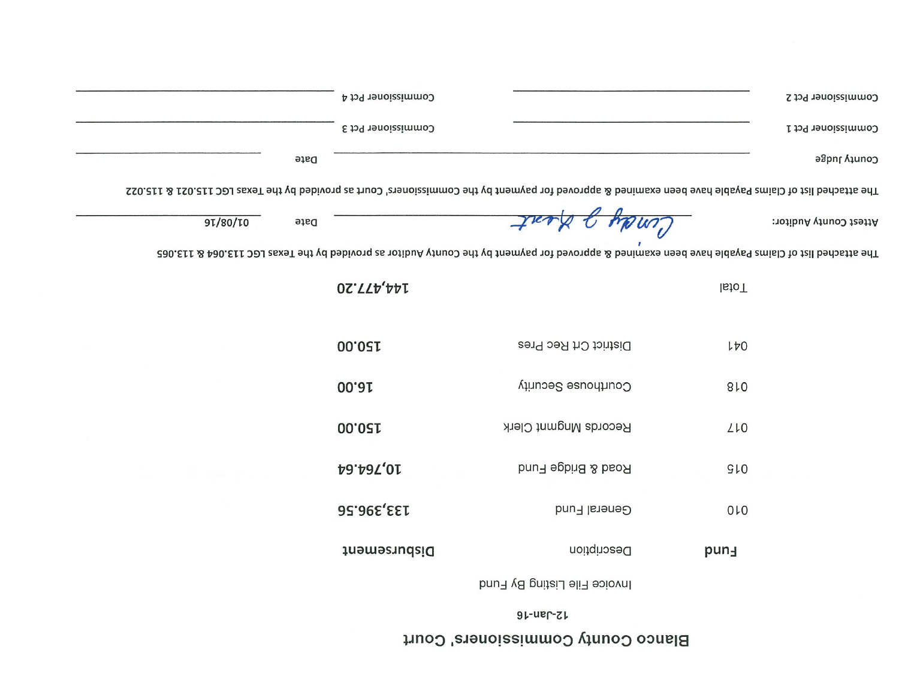## Blanco County Commissioners' Court

 $9r$ -u $r$ -z $r$ 

|                                                                                                                                                          | Commissioner Pct 4 |                              | Commissioner Pct 2                                                                                                                               |
|----------------------------------------------------------------------------------------------------------------------------------------------------------|--------------------|------------------------------|--------------------------------------------------------------------------------------------------------------------------------------------------|
|                                                                                                                                                          | Commissioner Pct 3 |                              | Commissioner Pct 1                                                                                                                               |
| Date                                                                                                                                                     |                    |                              | County Judge                                                                                                                                     |
| The attached list of Claims Payable have been examined & approved for payment by the Commissioners' Court as provided by the Texas LGC 115.021 & 115.022 |                    |                              |                                                                                                                                                  |
| 91/80/10<br>Date                                                                                                                                         |                    | Cendy of Heat                | Attest County Auditor:                                                                                                                           |
|                                                                                                                                                          |                    |                              | The attached list of Claims Payable hard eesn examined & approved tor payment by the County Audion as provided by the Texas LGC 113.065 CE13.065 |
|                                                                                                                                                          | <b>02.772.20</b>   |                              | lstoT                                                                                                                                            |
|                                                                                                                                                          | 00.021             | District Crt Rec Pres        | 170                                                                                                                                              |
|                                                                                                                                                          | 00. <sub>0</sub> 1 | Courthouse Security          | 810                                                                                                                                              |
|                                                                                                                                                          | 00.021             | Records Mngmnt Clerk         | LLO                                                                                                                                              |
|                                                                                                                                                          | 10,764.64          | Road & Bridge Fund           | GLO                                                                                                                                              |
|                                                                                                                                                          | 133'396'29         | General Fund                 | 010                                                                                                                                              |
|                                                                                                                                                          | Disbursement       | Description                  | pun-                                                                                                                                             |
|                                                                                                                                                          |                    | Invoice File Listing By Fund |                                                                                                                                                  |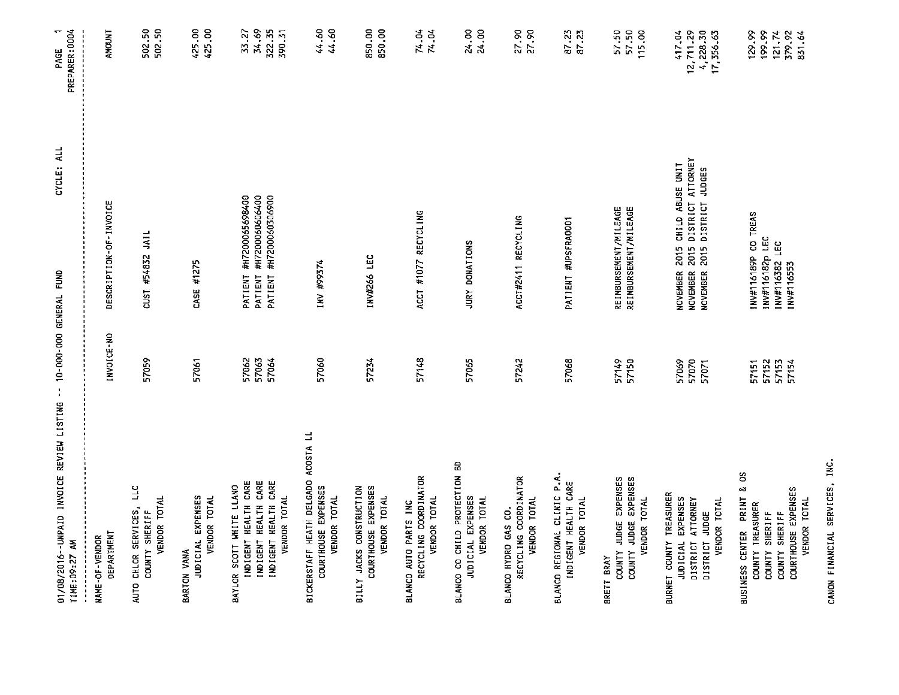| 01/08/2016 -- UNPAID INVOICE REVIEW LISTING -- 10-000-000 GENERAL FUND<br>TIME: 09:27 AM                                            |                                  | CYCLE: ALL                                                                                                                      | PREPARER: 0004<br>$\overline{\phantom{0}}$<br>PAGE |
|-------------------------------------------------------------------------------------------------------------------------------------|----------------------------------|---------------------------------------------------------------------------------------------------------------------------------|----------------------------------------------------|
| DEPARTHENT<br>NAME-OF-VENDOR                                                                                                        | I NVOI CE-NO                     | DESCRIPTION-OF-INVOICE                                                                                                          | <b>AMOUNT</b>                                      |
| AUTO CHLOR SERVICES, LLC<br>VENDOR TOTAL<br>COUNTY SHERIFF                                                                          | 57059                            | CUST #54832 JAIL                                                                                                                | 502.50<br>502.50                                   |
| JUDICIAL EXPENSES<br>VENDOR TOTAL<br>BARTON VANA                                                                                    | 57061                            | CASE #1275                                                                                                                      | 425.00<br>425.00                                   |
| INDIGENT HEALTH CARE<br>INDIGENT HEALTH CARE<br>INDIGENT HEALTH CARE<br>BAYLOR SCOTT WHITE LLANO<br>VENDOR TOTAL                    | 57062<br>57063<br>57064          | PATIENT #H7200065698400<br>#H7200060606400<br>PATIENT #H7200060306900<br>PATIENT                                                | 322.35<br>34.69<br>390.31<br>33.27                 |
| BICKERSTAFF HEATH DELGADO ACOSTA LL<br>COURTHOUSE EXPENSES<br>VENDOR TOTAL                                                          | 57060                            | <b>INV #99374</b>                                                                                                               | 44.60<br>44.60                                     |
| COURTHOUSE EXPENSES<br>BILLY JACKS CONSTRUCTION<br>VENDOR TOTAL                                                                     | 57234                            | INV#266 LEC                                                                                                                     | 850.00<br>850.00                                   |
| RECYCLING COORDINATOR<br><b>VENDOR TOTAL</b><br>BLANCO AUTO PARTS INC                                                               | 57148                            | ACCT #1077 RECYCLING                                                                                                            | 74.04<br>74.04                                     |
| BLANCO CO CHILD PROTECTION BD<br>JUDICIAL EXPENSES<br>VENDOR TOTAL                                                                  | 57065                            | JURY DONATIONS                                                                                                                  | 24.00<br>24.00                                     |
| RECYCLING COORDINATOR<br>VENDOR TOTAL<br>BLANCO HYDRO GAS CO.                                                                       | 57242                            | ACCT#2411 RECYCLING                                                                                                             | 27.90<br>27.90                                     |
| BLANCO REGIONAL CLINIC P.A.<br>INDIGENT HEALTH CARE<br>VENDOR TOTAL                                                                 | 57068                            | PATIENT #UPSFRA0001                                                                                                             | 87 23<br>87 23                                     |
| COUNTY JUDGE EXPENSES<br>COUNTY JUDGE EXPENSES<br>VENDOR TOTAL<br>BRETT BRAY                                                        | 57149<br>57150                   | REIMBURSEMENT/MILEAGE<br>REIMBURSEMENT/MILEAGE                                                                                  | 57.50<br>57.50<br>115.00                           |
| BURNET COUNTY TREASURER<br>JUDICIAL EXPENSES<br>ATTORNEY<br>VENDOR TOTAL<br>DISTRICT JUDGE<br>DISTRICT                              | 57069<br>57070<br>57071          | DISTRICT ATTORNEY<br>NOVEMBER 2015 CHILD ABUSE UNIT<br><b>JUDGES</b><br>DISTRICT<br>2015<br>2015<br>NOVEMBER<br><b>NOVEMBER</b> | 12,711.29<br>4,228.30<br>417.04<br>17,356.63       |
| SO<br>οğ<br>COURTHOUSE EXPENSES<br>PRINT<br>VENDOR TOTAL<br>COUNTY TREASURER<br>COUNTY SHERIFF<br>COUNTY SHERIFF<br>BUSINESS CENTER | 57153<br>57152<br>57151<br>57154 | INV#116189P CO TREAS<br>INV#116182p LEC<br>INV#116382 LEC<br>INV#116553                                                         | 199.99<br>129.99<br>379.92<br>121.74<br>831.64     |

CANON FINANCIAL SERVICES, INC.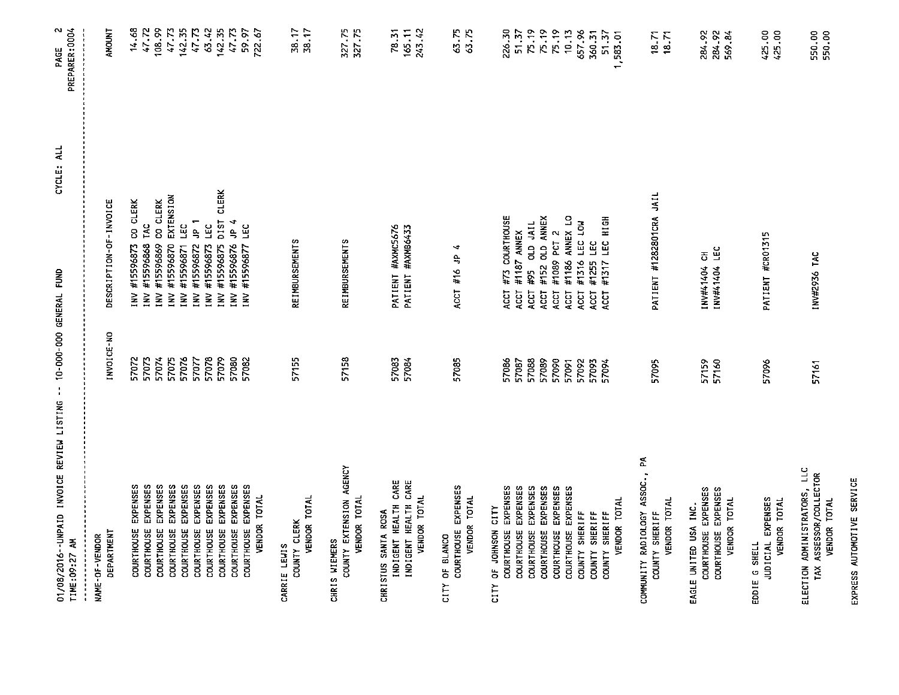| 01/08/2016--UNPAID INVOICE REVIEW LISTING -- 10-000-000 GENERAL FUND<br>TIME:09:27 AM |                | CYCLE: ALL                                                      | $\mathbf{\tilde{z}}$<br>PREPARER:0004<br>PAGE |
|---------------------------------------------------------------------------------------|----------------|-----------------------------------------------------------------|-----------------------------------------------|
| DEPARTMENT<br>NAME-OF-VENDOR                                                          | INVOICE-NO     | DESCRIPTION-OF-INVOICE                                          | <b>AMOUNT</b>                                 |
| EXPENSES<br>COURTHOUSE                                                                | 57072          | CO CLERK<br>INV #15596873                                       | 14.68                                         |
| EXPENSES<br>COURTHOUSE                                                                | 57073          | TAC<br>#15596868<br>INV                                         |                                               |
| EXPENSES<br>COURTHOUSE                                                                | 57074          | CO CLERK<br>#15596869<br>$\geq$                                 | 47.72<br>108.99                               |
| <b>EXPENSES</b><br><b>COURTHOUSE</b>                                                  | 57075          | EXTENSION<br>#15596870<br>INV                                   | 47.73                                         |
| EXPENSES<br>COURTHOUSE                                                                | 57076          | LEC<br>#15596871<br>È                                           | 142.35                                        |
| COURTHOUSE EXPENSES                                                                   | 57077          | $\frac{1}{2}$<br>#15596872<br>$\geq$                            | 47.73                                         |
| EXPENSES<br>COURTHOUSE                                                                | 57078          | ΞC<br>INV #15596873                                             | 63.42                                         |
| EXPENSES<br>COURTHOUSE                                                                | 57079          | DIST CLERK<br>#15596875<br>$\geq$                               | 142.35                                        |
| COURTHOUSE EXPENSES                                                                   | 57080          | 4 qr<br>#15596876<br>$\mathbf{N}$                               | 47.73                                         |
| EXPENSES<br>VENDOR TOTAL<br><b>COURTHOUSE</b>                                         | 57082          | ĽC<br>#15596877<br>$\geq$                                       | 59.97<br>722.67                               |
| CARRIE LEWIS                                                                          |                |                                                                 |                                               |
| VENDOR TOTAL<br>COUNTY CLERK                                                          | 57155          | <b>REIMBURSEMENTS</b>                                           | 38.17<br>38.17                                |
| CHRIS WIEMERS                                                                         |                |                                                                 |                                               |
| COUNTY EXTENSION AGENCY<br>VENDOR TOTAL                                               | 57158          | <b>REIMBURSEMENTS</b>                                           | 327.75<br>327.75                              |
| CHRISTUS SANTA ROSA                                                                   |                |                                                                 |                                               |
| <b>INDIGENT HEALTH CARE</b><br>INDIGENT HEALTH CARE                                   | 57083<br>57084 | PATIENT #AXMC5676<br>PATIENT #AXMB6433                          | 78.31<br>165.11                               |
| VENDOR TOTAL                                                                          |                |                                                                 | 243.42                                        |
| CITY OF BLANCO                                                                        |                |                                                                 |                                               |
| COURTHOUSE EXPENSES<br>VENDOR TOTAL                                                   | 57085          | 4<br>ACCT #16 JP                                                | 63.75<br>63.75                                |
| CITY OF JOHNSON CITY                                                                  |                |                                                                 |                                               |
| EXPENSES<br>COURTHOUSE                                                                | 57086          | #73 COURTHOUSE<br>ACCT                                          | 226.30                                        |
| EXPENSES<br>COURTHOUSE                                                                | 57087          | #1187 ANNEX<br>ACCT                                             | 51.37                                         |
| COURTHOUSE EXPENSES<br>EXPENSES<br>COURTHOUSE                                         | 57088<br>57089 | #152 OLD ANNEX<br><b>JIN' QTO</b><br>#95<br><b>ACCT</b><br>ACCT | 75.19<br>75.19                                |
| EXPENSES<br>COURTHOUSE                                                                | 57090          | #1089 PCT 2<br>ACCT                                             | 75.19                                         |
| COURTHOUSE EXPENSES                                                                   | 57091          | #1186 ANNEX LO<br>ACCT                                          | 10.13                                         |
| COUNTY SHERIFF                                                                        | 57092          | #1316 LEC LOW<br><b>ACCT</b>                                    | 657.96                                        |
| COUNTY SHERIFF                                                                        | 57093          | #1255 LEC<br>ACCT                                               | 360.31                                        |
| VENDOR TOTAL<br>COUNTY SHERIFF                                                        | 57094          | #1317 LEC HIGH<br><b>ACCT</b>                                   | 51.37<br>1,583.01                             |
| COMMUNITY RADIOLOGY ASSOC., PA                                                        |                |                                                                 |                                               |
| VENDOR TOTAL<br>COUNTY SHERIFF                                                        | 57095          | PATIENT #1282801CRA JAIL                                        | $18.71$<br>$18.71$                            |
| EAGLE UNITED USA INC.                                                                 |                |                                                                 |                                               |
| COURTHOUSE EXPENSES<br>COURTHOUSE EXPENSES                                            | 57159<br>57160 | INV#41404 LEC<br>INV#41404 CH                                   | 284.92<br>284.92                              |
| VENDOR TOTAL                                                                          |                |                                                                 | 569.84                                        |
| JUDICIAL EXPENSES<br>VENDOR TOTAL<br>EDDIE G SHELL                                    | 57096          | PATIENT #CR01315                                                | 425.00<br>425.00                              |
| <b>110</b><br>ELECTION ADMINISTRATORS,                                                |                |                                                                 |                                               |
| TAX ASSESSOR/COLLECTOR<br>VENDOR TOTAL                                                | 57161          | 1NV#2936 TAC                                                    | 550.00<br>550.00                              |

EXPRESS AUTOMOTIVE SERVICE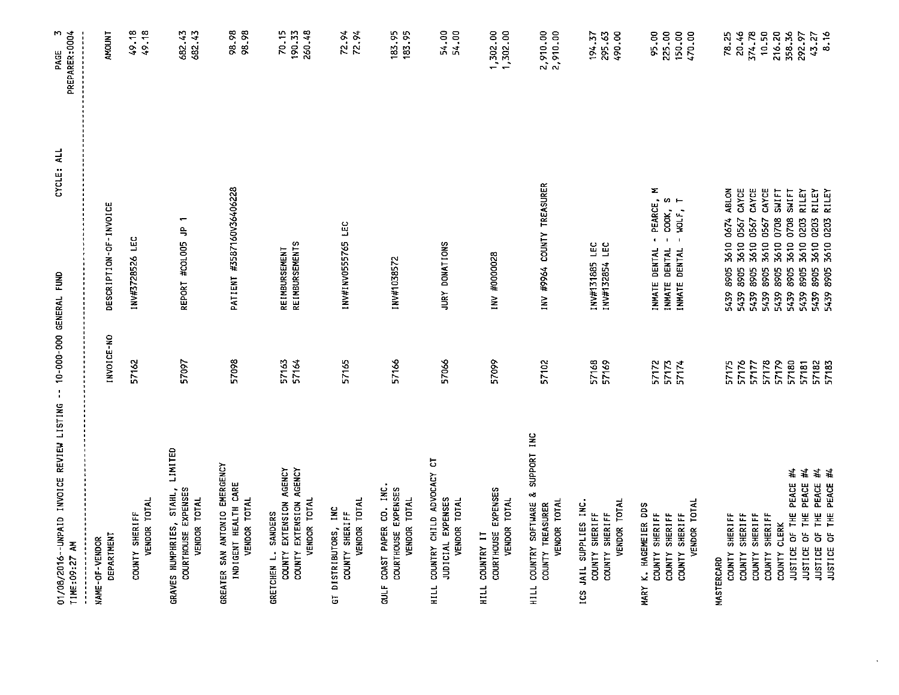| 01/08/2016--UNPAID INVOICE REVIEW LISTING -- 10-000-000 GENERAL FUND<br>TIME: 09:27 AM                       |                         | CYCLE: ALL                                                                                          | PREPARER: 0004<br>M<br>PAGE         |
|--------------------------------------------------------------------------------------------------------------|-------------------------|-----------------------------------------------------------------------------------------------------|-------------------------------------|
| DEPARTHENT<br>NAME-OF-VENDOR                                                                                 | INVOICE-NO              | DESCRIPTION-OF-INVOICE                                                                              | <b>AMOUNT</b>                       |
| VENDOR TOTAL<br>COUNTY SHERIFF                                                                               | 57162                   | 1NV#3728526 LEC                                                                                     | 49.18<br>49.18                      |
| LIMITED<br>GRAVES HUMPHRIES, STAHL,<br>COURTHOUSE EXPENSES<br>VENDOR TOTAL                                   | 57097                   | $\overline{\phantom{0}}$<br>REPORT #COLOO5 JP                                                       | 682.43<br>682.43                    |
| GREATER SAN ANTONIO EMERGENCY<br>INDIGENT HEALTH CARE<br>VENDOR TOTAL                                        | 57098                   | PATIENT #3587160V36406228                                                                           | 98.98<br>98.98                      |
| COUNTY EXTENSION AGENCY<br>COUNTY EXTENSION AGENCY<br>VENDOR TOTAL<br>SANDERS<br>GRETCHEN L.                 | 57163<br>57164          | <b>REIMBURSEMENTS</b><br>REIMBURSEMENT                                                              | 190.33<br>260.48<br>70.15           |
| VENDOR TOTAL<br>INC<br>COUNTY SHERIFF<br>GT DISTRIBUTORS,                                                    | 57165                   | INV#INV0555765 LEC                                                                                  | 72.94<br>72.94                      |
| GULF COAST PAPER CO. INC.<br>COURTHOUSE EXPENSES<br>VENDOR TOTAL                                             | 57166                   | INV#1038572                                                                                         | 183.95<br>183.95                    |
| HILL COUNTRY CHILD ADVOCACY CT<br>JUDICIAL EXPENSES<br>VENDOR TOTAL                                          | 57066                   | JURY DONATIONS                                                                                      | 54.00<br>54.00                      |
| COURTHOUSE EXPENSES<br>VENDOR TOTAL<br>HILL COUNTRY IT                                                       | 57099                   | INV #0000028                                                                                        | 1,302.00<br>1,302.00                |
| SUPPORT INC<br>COUNTRY SOFTWARE &<br>VENDOR TOTAL<br>COUNTY TREASURER<br>HILL                                | 57102                   | INV #9964 COUNTY TREASURER                                                                          | 2,910.00<br>2,910.00                |
| VENDOR TOTAL<br>ICS JAIL SUPPLIES INC.<br>COUNTY SHERIFF<br>COUNTY SHERIFF                                   | 57168<br>57169          | INV#131885 LEC<br>LEC<br>INV#132854                                                                 | 295.63<br>490.00<br>194.37          |
| VENDOR TOTAL<br>MARY K. HAGEMEIER DDS<br>COUNTY SHERIFF<br><b>SHERIFF</b><br>COUNTY SHERIFF<br><b>COUNTY</b> | 57172<br>57173<br>57174 | z<br>- PEARCE,<br>COOK, S<br>WOLF, T<br>WOLF,<br>INMATE DENTAL<br>DENTAL<br>INMATE DENTAL<br>INMATE | 225.00<br>150.00<br>470.00<br>95.00 |
| COUNTY SHERIFF<br><b>MASTERCARD</b>                                                                          | 57175                   | 3610 0674 ABLON<br>8905<br>5439                                                                     | 78.25                               |
| <b>SHERIFF</b><br><b>SHERIFF</b><br><b>COUNTY</b><br><b>COUNTY</b>                                           | 57176<br>57177          | CAYCE<br>CAYCE<br>0567<br>0567<br>3610<br>3610<br>8905<br>8905<br>5439<br>5439                      | 20.46<br>374.78                     |
| <b>SHERIFF</b><br><b>COUNTY</b>                                                                              | 57178                   | CAYCE<br>0567<br>3610<br>8905<br>5439                                                               | 10.50                               |
| JUSTICE OF THE PEACE #4<br>COUNTY CLERK                                                                      | 57179<br>57180          | SWIFT<br>SWIFT<br>0708<br>0708<br>3610<br>3610<br>8905<br>8905<br>5439<br>5439                      | 216.20<br>358.36                    |
| 芀<br>PEACE<br>OF THE<br>JUSTICE                                                                              | 57181                   | RILEY<br>3610 0203<br>3610<br>8905<br>5439                                                          | 292.97                              |
| 芳芽<br>JUSTICE OF THE PEACE<br>JUSTICE OF THE PEACE                                                           | 57182<br>57183          | RILEY<br>RILEY<br>3610 0203<br>0203<br>8905<br>8905<br>5439                                         | $43.27$<br>8.16                     |

 $\mathcal{L}_{\mathcal{A}}$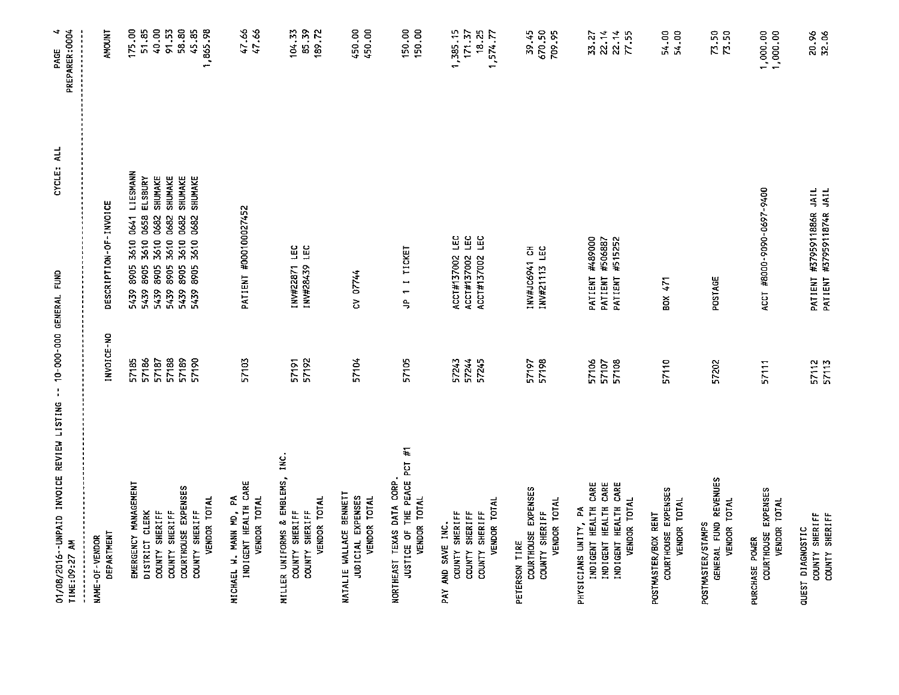| 01/08/2016 -- UNPAID INVOICE REVIEW LISTING -- 10-000-000 GENERAL FUND<br>TIME:09:27 AM |                | CYCLE: ALL                                                                       | PAGE 4<br>PREPARER: 0004 |
|-----------------------------------------------------------------------------------------|----------------|----------------------------------------------------------------------------------|--------------------------|
| DEPARTMENT<br>NAME-OF-VENDOR                                                            | INVOICE-NO     | DESCRIPTION-OF-INVOICE                                                           | <b>AMOUNT</b>            |
| EMERGENCY MANAGEMENT                                                                    | 57185          | LIESMANN<br>3610 0641<br>5439 8905                                               | 175.00                   |
| DISTRICT CLERK                                                                          | 57186          | ELSBURY<br>0658<br>3610<br>8905<br>5439                                          | 51.85                    |
| COUNTY SHERIFF                                                                          | 57188<br>57187 | <b>SHUMAKE</b><br>SHUMAKE<br>3610 0682<br>0682<br>3610<br>5439 8905<br>5439 8905 | 40.00<br>91.53           |
| COURTHOUSE EXPENSES<br>COUNTY SHERIFF                                                   | 57189          | SHUMAKE<br>3610 0682<br>5439 8905                                                | 58.80                    |
| COUNTY SHERIFF                                                                          | 57190          | SHUMAKE<br>5439 8905 3610 0682                                                   | 45.85                    |
| VENDOR TOTAL                                                                            |                |                                                                                  | 1,865.98                 |
| INDIGENT HEALTH CARE<br>MICHAEL W. MANN MD, PA                                          | 57103          | PATIENT #000100027452                                                            | 47.66<br>47.66           |
| VENDOR TOTAL                                                                            |                |                                                                                  |                          |
| MILLER UNIFORMS & EMBLEMS, INC.<br>COUNTY SHERIFF                                       |                | LEC<br>INV#22871                                                                 | 104.33                   |
| <b>VENDOR TOTAL</b><br>COUNTY SHERIFF                                                   | 57191<br>57192 | INV#28439 LEC                                                                    | 85.39<br>189.72          |
| NATALIE WALLACE BENNETT<br>JUDICIAL EXPENSES<br><b>VENDOR TOTAL</b>                     | 57104          | CV 07744                                                                         | 450.00<br>450.00         |
| JUSTICE OF THE PEACE PCT #1<br>NORTHEAST TEXAS DATA CORP.<br>VENDOR TOTAL               | 57105          | JP 1 1 TICKET                                                                    | 150.00<br>150.00         |
| COUNTY SHERIFF<br>PAY AND SAVE INC.                                                     | 57243          | ACCT#137002 LEC                                                                  | 1,385.15                 |
| <b>SHERIFF</b><br><b>COUNTY</b>                                                         | 57244          | ACCT#137002 LEC                                                                  | 17137                    |
| VENDOR TOTAL<br>COUNTY SHERIFF                                                          | 57245          | ΠE<br>ACCT#137002                                                                | 18.25<br>1,574.77        |
| PETERSON TIRE                                                                           |                |                                                                                  |                          |
| COURTHOUSE EXPENSES                                                                     | 57197          | INV#JC6941 CH                                                                    | 39.45                    |
| VENDOR TOTAL<br>COUNTY SHERIFF                                                          | 57198          | INV#21113 LEC                                                                    | 670.50<br>709.95         |
| PHYSICIANS UNITY, PA                                                                    |                |                                                                                  |                          |
| INDIGENT HEALTH CARE                                                                    | 57106          | #489000<br>#506887<br>PATIENT                                                    | <b>23.27</b>             |
| INDIGENT HEALTH CARE                                                                    | 57108<br>57107 | #515252<br>PATIENT<br>PATIENT                                                    | 22.14                    |
| INDIGENT HEALTH CARE<br>VENDOR TOTAL                                                    |                |                                                                                  | $\frac{22.14}{77.55}$    |
| POSTMASTER/BOX RENT                                                                     |                |                                                                                  |                          |
| COURTHOUSE EXPENSES<br>VENDOR TOTAL                                                     | 57110          | BOX 471                                                                          | 54.00<br>54.00           |
| GENERAL FUND REVENUES<br>VENDOR TOTAL<br>POSTMASTER/STAMPS                              | 57202          | POSTAGE                                                                          | 73.50<br>73.50           |
| PURCHASE POWER                                                                          |                |                                                                                  |                          |
| COURTHOUSE EXPENSES<br>VENDOR TOTAL                                                     | 57111          | ACCT #8000-9090-0697-9400                                                        | 1,000.00<br>1,000.00     |
| QUEST DIAGNOSTIC                                                                        |                | PATIENT #3795911886R JAIL                                                        |                          |
| COUNTY SHERIFF<br>COUNTY SHERIFF                                                        | 57112<br>57113 | PATIENT #3795911874R JAIL                                                        | 20.96<br>32.06           |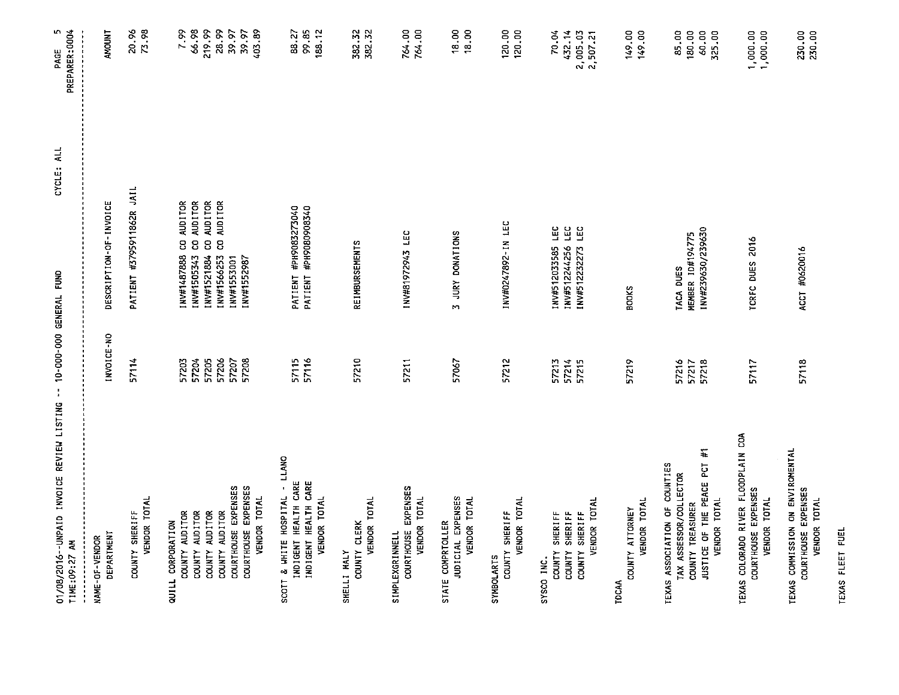| 01/08/2016--UNPAID INVOICE REVIEW LISTING -- 10-000-000 GENERAL FUND<br>TIME:09:27 AM |                | CYCLE: ALL                                                      | PAGE 5<br>PREPARER:0004   |
|---------------------------------------------------------------------------------------|----------------|-----------------------------------------------------------------|---------------------------|
| DEPARTMENT<br>NAME-OF-VENDOR                                                          | INVOICE-NO     | DESCRIPTION-OF-INVOICE                                          | <b>AMOUNT</b>             |
| VENDOR TOTAL<br>COUNTY SHERIFF                                                        | 57114          | PATIENT #3795911862R JAIL                                       | 73.98<br>20.96            |
| QUILL CORPORATION                                                                     |                |                                                                 |                           |
| COUNTY AUDITOR                                                                        | 57204<br>57203 | CO AUDITOR<br><b>AUDITOR</b><br>8<br>INV#1487888<br>INV#1505343 | 66.98<br>7.99             |
| COUNTY AUDITOR<br>COUNTY AUDITOR                                                      | 57205          | AUDITOR<br>8<br>INV#1521884                                     | 219.99                    |
| COUNTY AUDITOR                                                                        | 57206          | <b>AUDITOR</b><br>g<br>INV#1566253                              | 28.99                     |
| COURTHOUSE EXPENSES                                                                   | 57207          | INV#1553001                                                     | 39.97                     |
| COURTHOUSE EXPENSES<br>VENDOR TOTAL                                                   | 57208          | INV#1552987                                                     | 403.89<br>39.97           |
| SCOTT & WHITE HOSPITAL - LLANO                                                        | 57115          | PATIENT #PH9083273040                                           | 88.27                     |
| INDIGENT HEALTH CARE<br>INDIGENT HEALTH CARE                                          | 57116          | PATIENT #PH9080908340                                           | 99.85                     |
| VENDOR TOTAL                                                                          |                |                                                                 | 188.12                    |
| VENDOR TOTAL<br>COUNTY CLERK<br>SHELLI MALY                                           | 57210          | <b>REIMBURSEMENTS</b>                                           | 382.32<br>382.32          |
| COURTHOUSE EXPENSES<br>VENDOR TOTAL<br><b>SIMPLEXGRINNELL</b>                         | 57211          | INV#81972943 LEC                                                | 764.00<br>764.00          |
| JUDICIAL EXPENSES<br><b>VENDOR TOTAL</b><br>STATE COMPRIOLLER                         | 57067          | 3 JURY DONATIONS                                                | 18.00<br>18,00            |
| VENDOR TOTAL<br>COUNTY SHERIFF<br><b>SYMBOLARTS</b>                                   | 57212          | 1NV#0247892-IN LEC                                              | 120.00<br>120.00          |
| SYSCO INC.                                                                            |                |                                                                 |                           |
| COUNTY SHERIFF<br><b>SHERIFF</b><br><b>COUNTY</b>                                     | 57213<br>57214 | ΓEC<br><b>TEC</b><br>INV#512033585<br>INV#512244256             | 432.14<br>70.04           |
| VENDOR TOTAL<br>COUNTY SHERIFF                                                        | 57215          | LEC<br>INV#512232273                                            | 2 005.03<br>2,507.21      |
| TOCAA                                                                                 |                |                                                                 |                           |
| VENDOR TOTAL<br>COUNTY ATTORNEY                                                       | 57219          | <b>BOOKS</b>                                                    | 149.00<br>149.00          |
| TEXAS ASSOCIATION OF COUNTIES<br>TAX ASSESSOR/COLLECTOR                               | 57216          | TACA DUES                                                       | 85.00                     |
| Ħ<br>JUSTICE OF THE PEACE PCT<br>COUNTY TREASURER                                     | 57218<br>57217 | INV#239630/239630<br><b>MEMBER 10#194775</b>                    | 180.00<br>60.00<br>325.00 |
| VENDOR TOTAL                                                                          |                |                                                                 |                           |
| TEXAS COLORADO RIVER FLOODPLAIN COA<br>COURTHOUSE EXPENSES<br>VENDOR TOTAL            | 57117          | TCRFC DUES 2016                                                 | 1,000.00<br>1,000.00      |
| TEXAS COMMISSION ON ENVIROMENTAL<br>COURTHOUSE EXPENSES<br>VENDOR TOTAL               | 57118          | ACCT #0620016                                                   | 230.00<br>230.00          |

TEXAS FLEET FUEL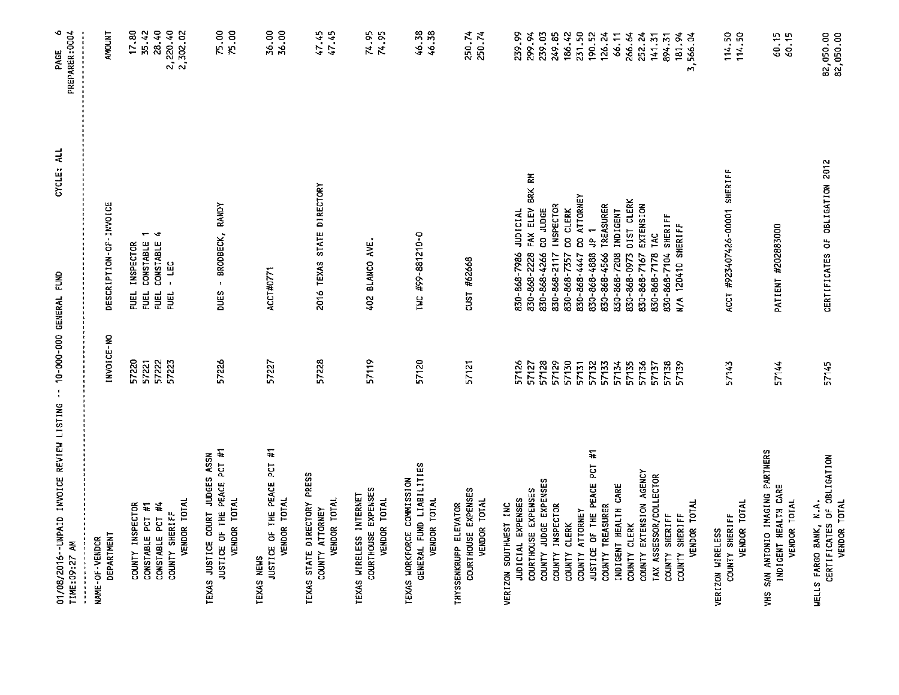| 01/08/2016 - UNPAID INVOICE REVIEW LISTING -- 10-000-000 GENERAL FUND<br>TIME: 09:27 AM |                | CYCLE: ALL                                              | $\bullet$<br>PREPARER: 0004<br>PAGE |
|-----------------------------------------------------------------------------------------|----------------|---------------------------------------------------------|-------------------------------------|
| DEPARTMENT<br>NAME-OF-VENDOR                                                            | INVOICE-NO     | DESCRIPTION-OF-INVOICE                                  | <b>AMOUNT</b>                       |
| COUNTY INSPECTOR                                                                        | 57220          | FUEL INSPECTOR                                          | 17.80                               |
| CONSTABLE PCT #1                                                                        | 57221          | $-1$<br>CONSTABLE<br>EUEL                               | 35.42<br>28.40                      |
| CONSTABLE PCT #4                                                                        | 57222          | CONSTABLE<br>EUEL                                       |                                     |
| COUNTY SHERIFF                                                                          | 57223          | - LEC<br>FUEL                                           | 2, 220.40                           |
| VENDOR TOTAL                                                                            |                |                                                         |                                     |
| JUSTICE OF THE PEACE PCT #1<br>TEXAS JUSTICE COURT JUDGES ASSN<br>VENDOR TOTAL          | 57226          | - BRODBECK, RANDY<br><b>DUES</b>                        | 75.00<br>75.00                      |
| JUSTICE OF THE PEACE PCT #1<br>TEXAS NEWS                                               | 57227          | ACCT#0771                                               | 36.00<br>36.00                      |
| <b>VENDOR TOTAL</b>                                                                     |                |                                                         |                                     |
| TEXAS STATE DIRECTORY PRESS<br>VENDOR TOTAL<br>COUNTY ATTORNEY                          | 57228          | 2016 TEXAS STATE DIRECTORY                              | 47.45<br>47.45                      |
| COURTHOUSE EXPENSES<br>TEXAS WIRELESS INTERNET<br>VENDOR TOTAL                          | 57119          | 402 BLANCO AVE.                                         | 74.95<br>74.95                      |
| GENERAL FUND LIABILITIES<br>TEXAS WORKFORCE COMMISSION<br>VENDOR TOTAL                  | 57120          | TWC #99-881210-0                                        | 46.38<br>46.38                      |
| COURTHOUSE EXPENSES<br>VENDOR TOTAL<br>THYSSENKRUPP ELEVATOR                            | 57121          | CUST #62668                                             | 250.74<br>250.74                    |
| JUDICIAL EXPENSES<br>VERIZON SOUTHWEST INC                                              | 57126          | <b>JUDICIAL</b><br>830-868-7986                         | 239.99                              |
| COURTHOUSE EXPENSES                                                                     | 57127          | FAX ELEV BRK RM<br>830-868-2228                         | 299.94                              |
| COUNTY JUDGE EXPENSES                                                                   | 57128          | CO JUDGE<br>830-868-4266                                | 239.03                              |
| COUNTY INSPECTOR                                                                        | 57129          | <b>INSPECTOR</b><br>830-868-2117                        | 249.85                              |
| COUNTY ATTORNEY<br>COUNTY CLERK                                                         | 57130<br>57131 | CO ATTORNEY<br>CO CLERK<br>830-868-7357<br>830-868-4447 | 186.42<br>231.50                    |
| JUSTICE OF THE PEACE PCT #1                                                             | 57132          | ۲<br>ج<br>830-868-4888                                  | 190.52                              |
| COUNTY TREASURER                                                                        | 57133          | TREASURER<br>830-868-4566                               | 126.24                              |
| INDIGENT HEALTH CARE                                                                    | 57134          | <b>INDIGENT</b><br>850-868-7208                         | 66.11                               |
| COUNTY CLERK                                                                            | 57135          | 830-868-0973 DIST CLERK                                 | 266.64                              |
| COUNTY EXTENSION AGENCY                                                                 | 57136          | EXTENSION<br>830-868-7167                               | 252.24                              |
| TAX ASSESSOR/COLLECTOR                                                                  | 57137          | <b>TAC</b><br>830-868-7178                              | 141.31                              |
| COUNTY SHERIFF<br>COUNTY SHERIFF                                                        | 57138          | 830-868-7104 SHERIFF                                    | 894.31                              |
| VENDOR TOTAL                                                                            | 57139          | N/A 120410 SHERIFF                                      | 181.94<br>3,566.04                  |
| VENDOR TOTAL<br>COUNTY SHERIFF<br>VERIZON WIRELESS                                      | 57143          | ACCT #923407426-00001 SHERIFF                           | 114.50<br>114.50                    |
| VHS SAN ANTONIO IMAGING PARTNERS<br>INDIGENT HEALTH CARE<br>VENDOR TOTAL                | 57144          | PATIENT #202883000                                      | 60.15<br>60.15                      |
| WELLS FARGO BANK, N.A.<br>CERTIFICATES OF OBLIGATION<br>VENDOR TOTAL                    | 57145          | CERTIFICATES OF OBLIGATION 2012                         | 82,050.00<br>82,050.00              |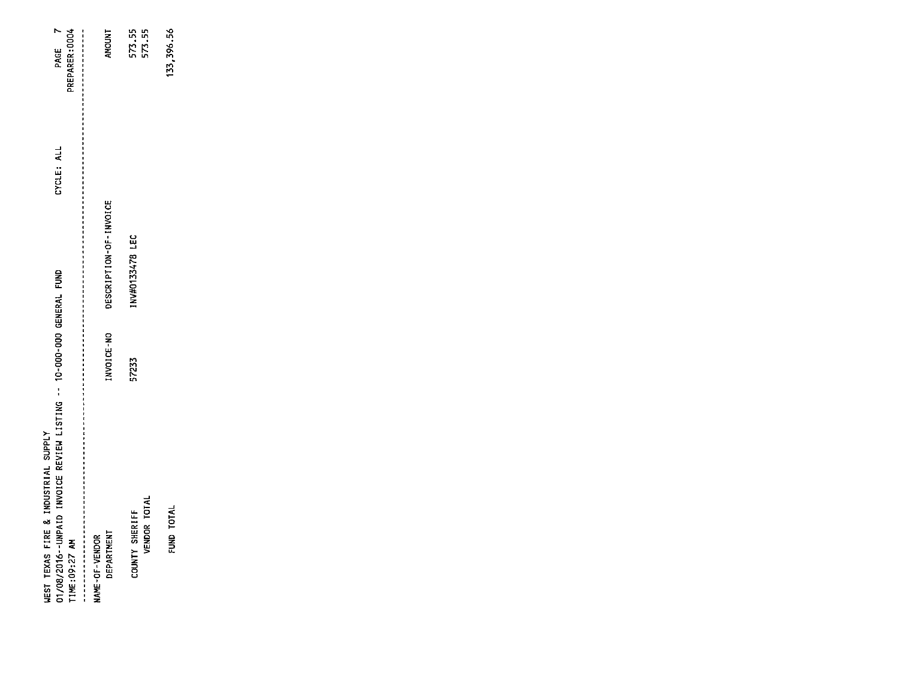| REPARER: 0004<br>PAGE<br>CYCLE: ALL                                                                                                                                                                                       | <b>INDOMI</b>                       | 573.55<br>573.55                      |
|---------------------------------------------------------------------------------------------------------------------------------------------------------------------------------------------------------------------------|-------------------------------------|---------------------------------------|
|                                                                                                                                                                                                                           | DESCRIPTION-OF-INVOICE              | NV#0133478 LEC                        |
|                                                                                                                                                                                                                           | NVOICE-NO                           | 57233                                 |
| 2. 我们我们我们的我们的我们的我们的我们的我们的事,我们也不能是我们的人,我们的人们的人们,我们的人们的人,我们的人们就会不会不会不会不会不会不会不会不会不会不会不会不会<br>01/08/2016 -- UNPAID INVOICE REVIEW LISTING -- 10-000-000 GENERAL FUND<br>WEST TEXAS FIRE & INDUSTRIAL SUPPLY<br>TIME: 09:27 AM | DEPARTMENT<br><b>MAME-OF-VENDOR</b> | VENDOR TOTAL<br><b>COUNTY SHERIFF</b> |

133, 396.56

FUND TOTAL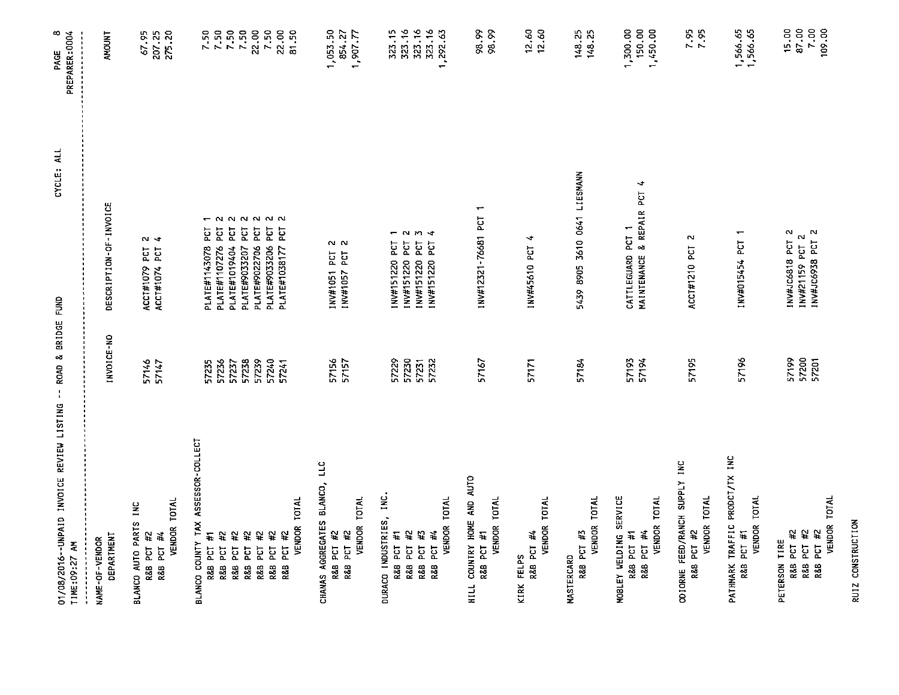| 01/08/2016--UNPAID INVOICE REVIEW LISTING -- ROAD & BRIDGE FUND<br>TIME: 09:27 AM |                         | CYCLE: ALL                                                            | $\infty$<br>PREPARER:0004<br>PAGE                               |
|-----------------------------------------------------------------------------------|-------------------------|-----------------------------------------------------------------------|-----------------------------------------------------------------|
| <b>DEPARTHENT</b><br>NAME-OF-VENDOR                                               | INVOICE-NO              | DESCRIPTION-OF-INVOICE                                                | <b>AMOUNT</b>                                                   |
| VENDOR TOTAL<br>BLANCO AUTO PARTS INC<br>R&B PCT #2<br>R&B PCT #4                 | 57146<br>57147          | น ง<br>ACCT#1079 PCT<br>ACCT#1074 PCT                                 | 67.95<br>207.25<br>275.20                                       |
| BLANCO COUNTY TAX ASSESSOR-COLLECT                                                |                         |                                                                       |                                                                 |
| R&B PCT #1                                                                        | 57236<br>57235          | $\sim$<br>PLATE#1143078 PCT<br>ECT<br>PLATE#1107276                   |                                                                 |
| PCT #2<br>$\ddot{\ast}$<br>PCT<br>R&B<br>R&B                                      | 57237                   | 55<br>PLATE#1019404                                                   | $7.50$<br>$7.50$<br>$7.50$<br>$7.50$<br>$7.50$                  |
| 쓮<br>PCT<br>R&B                                                                   | 57238                   | 5g<br>PLATE#9033207                                                   |                                                                 |
| R&B PCT #2                                                                        | 57239                   | EST<br>PLATE#9022706                                                  |                                                                 |
| #2<br>R&B PCT                                                                     | 57240                   | 22222<br>PLATE#1038177 PCT<br>E<br>PLATE#9033206                      |                                                                 |
| VENDOR TOTAL<br>¥<br>R&B PCT                                                      | 57241                   |                                                                       | $7.50$<br>$22.50$<br>$51.50$                                    |
| CHANAS AGGREGATES BLANCO, LLC<br>R&B PCT #2                                       | 57156                   | 2<br>2<br>INV#1051 PCT                                                | 1,053.50<br>854.27                                              |
| VENDOR TOTAL<br>R&B PCT #2                                                        | 57157                   | INV#1057 PCT                                                          | 1 707 77                                                        |
| DURACO INDUSTRIES, INC.<br>R&B PCT #1                                             | 57229                   | $\overline{\phantom{0}}$<br>INV#151220 PCT                            | 323.15                                                          |
| PCT #2<br>R&B                                                                     | 57230                   | $\sim$<br>INV#151220 PCT                                              | 323.16                                                          |
| VENDOR TOTAL<br>¥<br>R&B PCT #4<br><b>PCT</b><br>R&B                              | 57231<br>57232          | $m +$<br>INV#151220 PCT<br>INV#151220 PCT                             | 323.16<br>323.16<br>1,292.63                                    |
| HILL COUNTRY HOME AND AUTO<br>VENDOR TOTAL<br>R&B PCT #1                          | 57167                   | $\overline{\phantom{0}}$<br>INV#12321-76681 PCT                       | 98.99<br>98.99                                                  |
| VENDOR TOTAL<br>R&B PCT #4<br>KIRK FELPS                                          | 57171                   | ∢<br>INV#45610 PCT                                                    | $12.60$<br>$12.60$                                              |
| MASTERCARD                                                                        |                         |                                                                       |                                                                 |
| <b>VENDOR TOTAL</b><br>R&B PCT #3                                                 | 57184                   | 5439 8905 3610 0641 LIESMANN                                          | 148.25<br>148.25                                                |
| MOBLEY WELDING SERVICE<br>VENDOR TOTAL<br>R&B PCT #4<br>R&B PCT #1                | 57193<br>57194          | $\blacktriangleleft$<br>MAINTENANCE & REPAIR PCT<br>CATTLEGUARD PCT 1 | 1,300.00<br>150.00<br>1,450.00                                  |
| ODIORNE FEED/RANCH SUPPLY INC<br>VENDOR TOTAL<br>R&B PCT #2                       | 57195                   | N<br>ACCT#1210 PCT                                                    | $7.95$<br>7.95                                                  |
| PATHMARK TRAFFIC PRODCT/TX INC<br>VENDOR TOTAL<br>R&B PCT #1                      | 57196                   | INV#015454 PCT 1                                                      | 1,566.65<br>1,566.65                                            |
| VENDOR TOTAL<br>PCT #2<br>PCT #2<br>R&B PCT #2<br>PETERSON TIRE<br>R&B<br>R&B     | 57200<br>57199<br>57201 | INV#JC6818 PCT 2<br>INV#JC6938 PCT 2<br>INV#21159 PCT 2               | 15.00<br>$\begin{array}{c} 67.00 \\ 7.00 \\ 109.00 \end{array}$ |

RUIZ CONSTRUCTION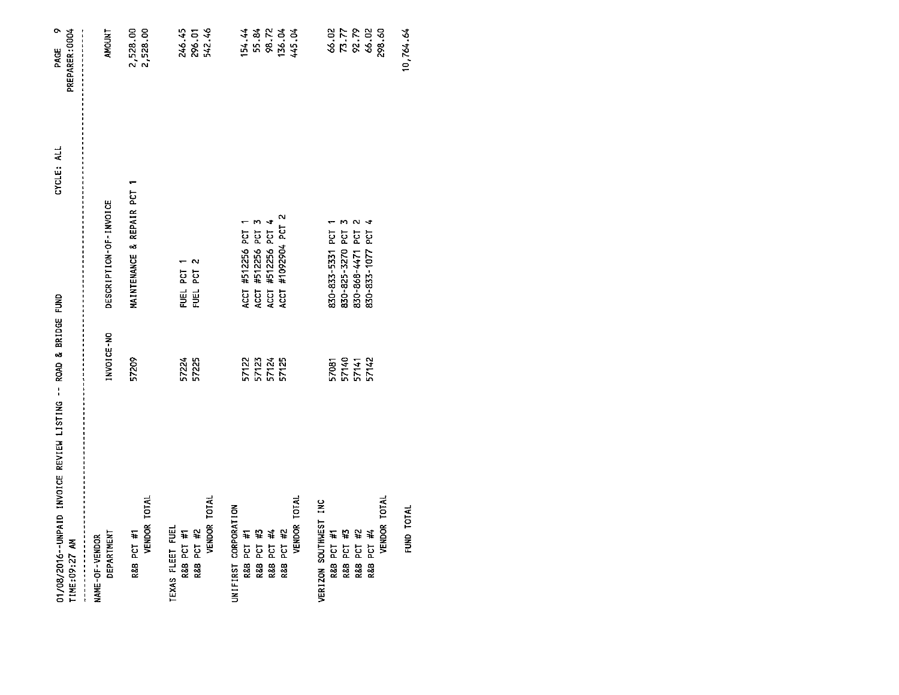| 01/08/2016--UNPAID INVOICE REVIEW LISTING -- ROAD & BRIDGE FUND<br>TIME:09:27 AM |                         | CYCLE: ALL                    | PAGE 9<br>PREPARER: 0004      |
|----------------------------------------------------------------------------------|-------------------------|-------------------------------|-------------------------------|
| DEPARTMENT<br>NAME-OF-VENDOR                                                     | INVOICE-NO              | DESCRIPTION-OF-INVOICE        | AMOUNT                        |
| VENDOR TOTAL<br>R&B PCT #1                                                       | 57209                   | r<br>MAINTENANCE & REPAIR PCT | 2,528.00<br>2,528.00          |
| TEXAS FLEET FUEL<br>R&B PCT #1                                                   | 57224                   | FUEL PCT 1                    | 246.45<br>296.01              |
| VENDOR TOTAL<br>R&B PCT #2                                                       | 57225                   | PCT <sub>2</sub><br>FUEL      | 542.46                        |
| UNIFIRST CORPORATION                                                             |                         |                               |                               |
| R&B PCT #1                                                                       | 57122                   | ACCT #512256 PCT 1            | 154.44                        |
|                                                                                  |                         | ACCT #512256 PCT              |                               |
| R&B PCT #3<br>R&B PCT #4                                                         | 57123<br>57124          | #512256 PCT<br>ACCT           | 55.84<br>98.72<br>136.04      |
| R&B PCT #2                                                                       | 57125                   | #1092904 PCT 2<br>ACCT        |                               |
| VENDOR TOTAL                                                                     |                         |                               | 445.04                        |
| VERIZON SOUTHWEST INC                                                            |                         |                               |                               |
| R&B PCT #1                                                                       | 57081                   | 830-833-5331 PCT              |                               |
|                                                                                  |                         | 830-825-3270 PCT              |                               |
| R&B PCT #3<br>R&B PCT #2                                                         |                         | <b>PCT</b><br>830-868-4471    |                               |
| R&B PCT #4                                                                       | 57140<br>57141<br>57142 | 4<br>830-833-1077 PCT         | 46.02<br>77<br>92.79<br>94.02 |
| VENDOR TOTAL                                                                     |                         |                               | 298.60                        |
| FUND TOTAL                                                                       |                         |                               | 10,764.64                     |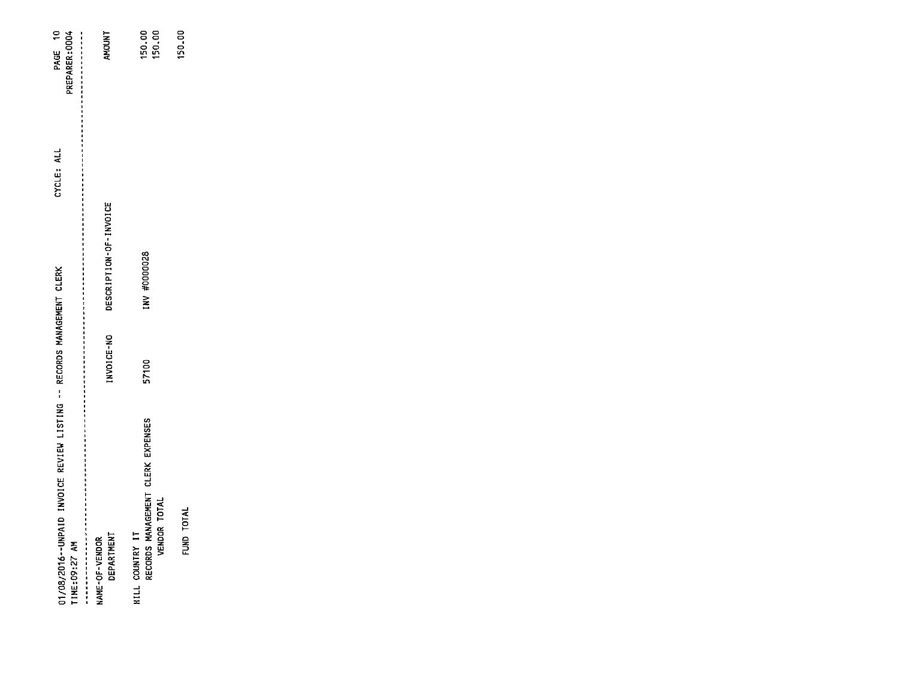| 01/08/2016--UNPAID INVOICE REVIEW LISTING -- RECORDS MANAGEMENT CLERK<br>TIME: 09:27 AM              |            |                        | CYCLE: ALL | PAGE 10<br>PREPARER: 0004 |
|------------------------------------------------------------------------------------------------------|------------|------------------------|------------|---------------------------|
| "我的是你们们你的最后的最后的时候,我的是我的女子们的最后的那个人的时候,我的是我的人的,我们就是我的女子,我们的女子,我的女子,我的女子,我们的女子,我们就是我的女子,我们的女子,我的女子,我们就是 |            |                        |            |                           |
| <b>DEPARTMENT</b><br>NAME-OF-VENDOR                                                                  | INVOICE-NO | DESCRIPTION-OF-INVOICE |            | <b>AMOUNT</b>             |
| RECORDS MANAGEMENT CLERK EXPENSES<br>VENDOR TOTAL<br>HILL COUNTRY IT                                 | 57100      | INV #0000028           |            | 150.00<br>150.00          |
| FUND TOTAL                                                                                           |            |                        |            | 150.00                    |
|                                                                                                      |            |                        |            |                           |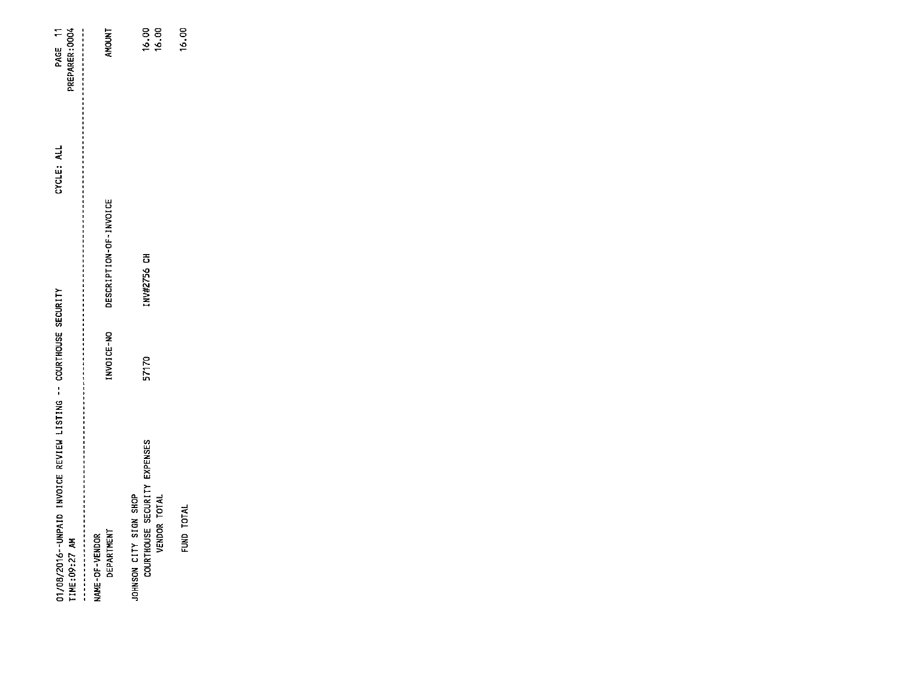| 01/08/2016--UNPAID INVOICE REVIEW LISTING -- COURTHOUSE SECURITY<br>TIME:09:27 AM |            |                        | PREPARER:0004<br>CYCLE: ALL | PAGE 11        |
|-----------------------------------------------------------------------------------|------------|------------------------|-----------------------------|----------------|
| DEPARTMENT<br>NAME-OF-VENDOR                                                      | INVOICE-NO | DESCRIPTION-OF-INVOICE |                             | <b>AMOUNT</b>  |
| COURTHOUSE SECURITY EXPENSES<br>JOHNSON CITY SIGN SHOP<br>VENDOR TOTAL            | 57170      | INV#2756 CH            |                             | 16.00<br>16.00 |
| FUND TOTAL                                                                        |            |                        |                             | $\frac{8}{2}$  |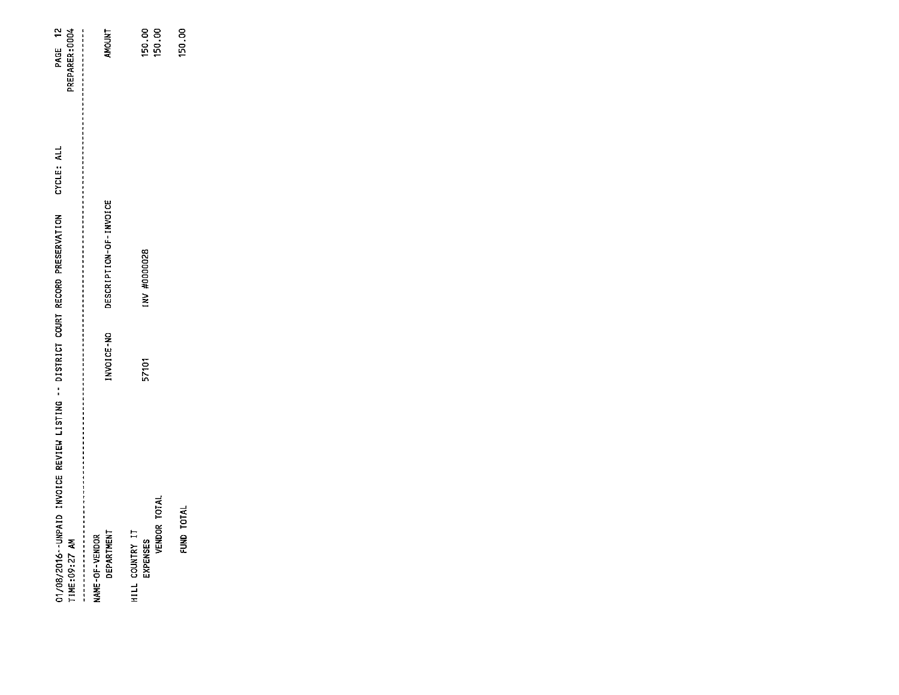| 01/08/2016--UNPAID INVOICE REVIEW LISTING -- DISTRICT COURT RECORD PRESERVATION<br>TIME: 09:27 AM |            |                        | CYCLE: ALL | PAGE 12<br>PREPARER: 0004 |
|---------------------------------------------------------------------------------------------------|------------|------------------------|------------|---------------------------|
| <b>DEPARTMENT</b><br>NAME-OF-VENDOR                                                               | INVOICE-NO | DESCRIPTION-OF-INVOICE |            | <b>AMOUNT</b>             |
| VENDOR TOTAL<br>HILL COUNTRY IT<br>EXPENSES                                                       | 57101      | <b>INV #0000028</b>    |            | 150.00<br>150.00          |
| FUND TOTAL                                                                                        |            |                        |            | 150,00                    |
|                                                                                                   |            |                        |            |                           |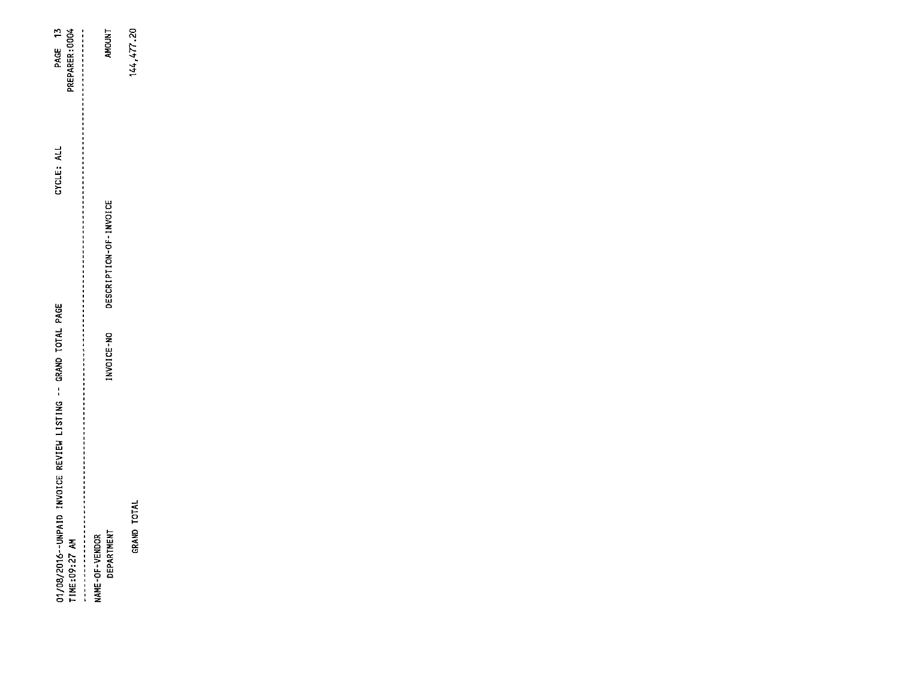| AMOUNT<br>$\begin{array}{c}\n1 \\ 1 \\ 1 \\ 1 \\ 1\n\end{array}$ | 144,477.20                                                    |  |  |  |
|------------------------------------------------------------------|---------------------------------------------------------------|--|--|--|
|                                                                  |                                                               |  |  |  |
|                                                                  |                                                               |  |  |  |
| INVOICE-NO                                                       |                                                               |  |  |  |
|                                                                  |                                                               |  |  |  |
|                                                                  | <b>TOTAL</b><br>GRAND                                         |  |  |  |
|                                                                  | DESCRIPTION-OF-INVOICE<br><b>NAME-OF-VENDOR</b><br>DEPARTMENT |  |  |  |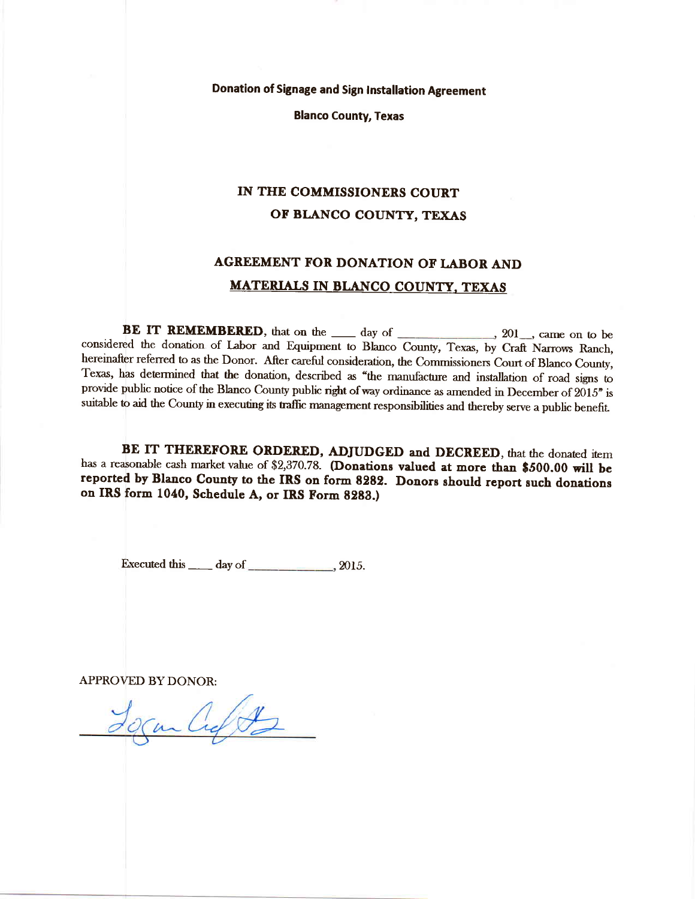Donation of Signage and Sign Installation Agreement

Blanco County, Texas

## IN THE COMMISSIONERS COURT OF BLANCO COUNTY, TEXAS

## AGREEMENT FOR DONATION OF LABOR AND MATERIALS IN BLANCO COUNTY, TEXAS

BE IT REMEMBERED, that on the  $\_\_\_\$  day of  $\_\_\_\_\_\_\$  201, came on to be considered the donation of Labor and Equipment to Blanco County, Texas, by Craft Narrows Ranch, hereinafter referred to as the Donor. After careful consideration, the Commissioners Court of Blanco County, Texas, has determined that the donation, described as "the manufacture and installation of road signs to provide public notice of the Blanco County public right of way ordinance as amended in December of 2015" is suitable to aid the County in executing its traffic management responsibilities and thereby serve a public benefit.

BE IT THEREFORE ORDERED, ADJUDGED and DECREED, that the donated item<br>has a reasonable cash market value of \$2,370.78. (Donations valued at more than \$500.00 will be reported by Blanco County to the IRS on form 8282. Donors should report such donations on IRS form 1040, Schedule A, or IRS Form 8283.)

Executed this  $\rule{1em}{0.15mm}$  day of  $\rule{1em}{0.15mm}$  2015.

APPROVED BY DONOR:

Cuft